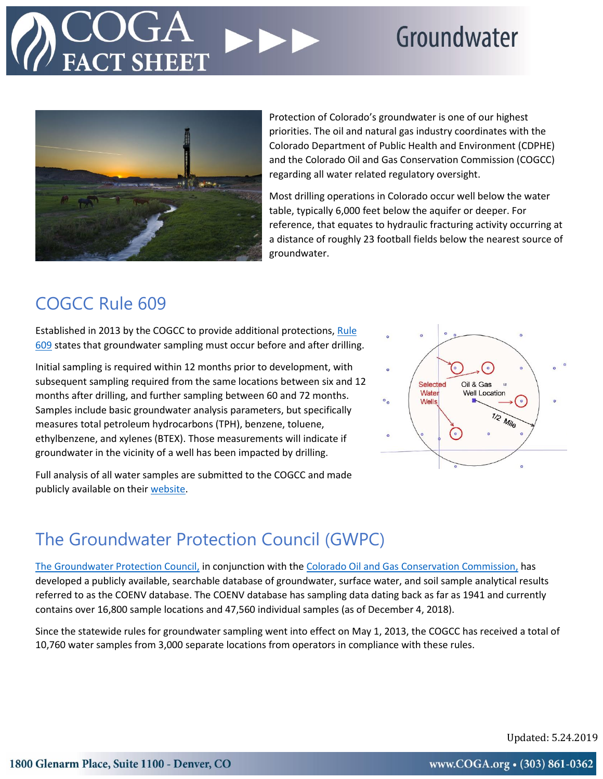## Groundwater



Protection of Colorado's groundwater is one of our highest priorities. The oil and natural gas industry coordinates with the Colorado Department of Public Health and Environment (CDPHE) and the Colorado Oil and Gas Conservation Commission (COGCC) regarding all water related regulatory oversight.

Most drilling operations in Colorado occur well below the water table, typically 6,000 feet below the aquifer or deeper. For reference, that equates to hydraulic fracturing activity occurring at a distance of roughly 23 football fields below the nearest source of groundwater.

### COGCC Rule 609

Established in 2013 by the COGCC to provide additional protections[, Rule](https://cogcc.state.co.us/COGIS_Help/SampleData.pdf)  [609](https://cogcc.state.co.us/COGIS_Help/SampleData.pdf) states that groundwater sampling must occur before and after drilling.

Initial sampling is required within 12 months prior to development, with subsequent sampling required from the same locations between six and 12 months after drilling, and further sampling between 60 and 72 months. Samples include basic groundwater analysis parameters, but specifically measures total petroleum hydrocarbons (TPH), benzene, toluene, ethylbenzene, and xylenes (BTEX). Those measurements will indicate if groundwater in the vicinity of a well has been impacted by drilling.

Full analysis of all water samples are submitted to the COGCC and made publicly available on their [website.](https://cogcc.state.co.us/RbdmsEnv/).)



### The Groundwater Protection Council (GWPC)

[The Groundwater Protection Council,](http://www.gwpc.org/) in conjunction with the [Colorado Oil and Gas Conservation Commission,](https://cogcc.state.co.us/#/home) has developed a publicly available, searchable database of groundwater, surface water, and soil sample analytical results referred to as the COENV database. The COENV database has sampling data dating back as far as 1941 and currently contains over 16,800 sample locations and 47,560 individual samples (as of December 4, 2018).

Since the statewide rules for groundwater sampling went into effect on May 1, 2013, the COGCC has received a total of 10,760 water samples from 3,000 separate locations from operators in compliance with these rules.

Updated: 5.24.2019